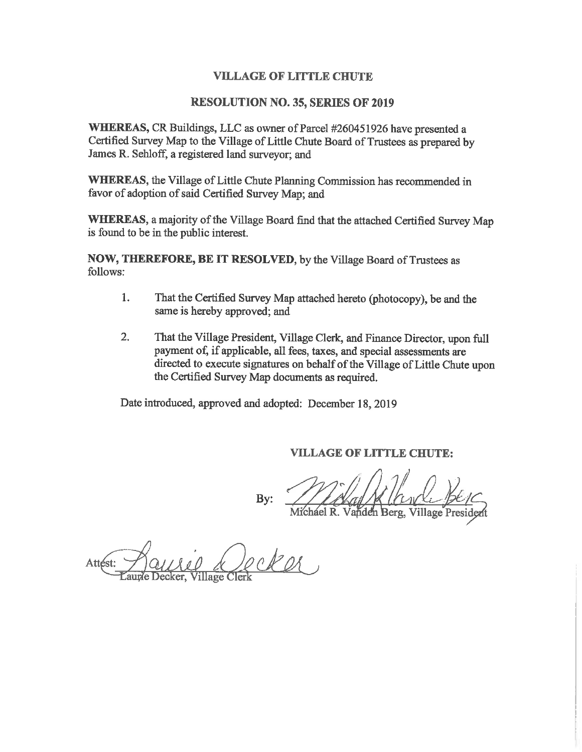### **VILLAGE OF LITTLE CHUTE**

### **RESOLUTION NO. 35, SERIES OF 2019**

WHEREAS, CR Buildings, LLC as owner of Parcel #260451926 have presented a Certified Survey Map to the Village of Little Chute Board of Trustees as prepared by James R. Sehloff, a registered land surveyor; and

WHEREAS, the Village of Little Chute Planning Commission has recommended in favor of adoption of said Certified Survey Map; and

WHEREAS, a majority of the Village Board find that the attached Certified Survey Map is found to be in the public interest.

NOW, THEREFORE, BE IT RESOLVED, by the Village Board of Trustees as follows:

- That the Certified Survey Map attached hereto (photocopy), be and the  $1.$ same is hereby approved; and
- That the Village President, Village Clerk, and Finance Director, upon full  $2.$ payment of, if applicable, all fees, taxes, and special assessments are directed to execute signatures on behalf of the Village of Little Chute upon the Certified Survey Map documents as required.

Date introduced, approved and adopted: December 18, 2019

**VILLAGE OF LITTLE CHUTE:** 

By:

Michael R. Vanden Berg,

Attést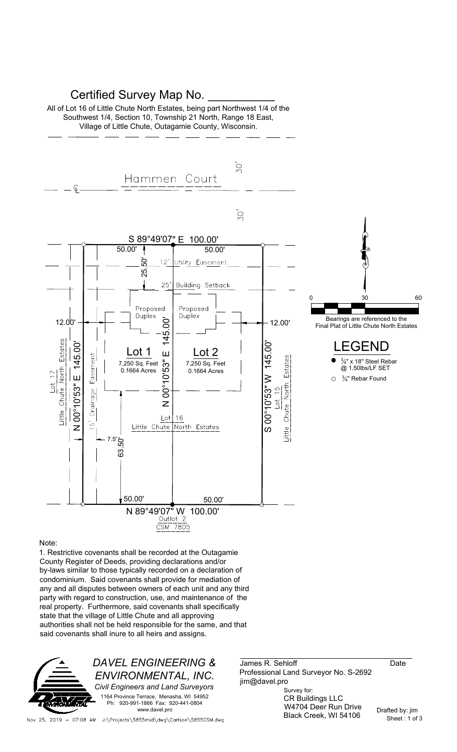## Certified Survey Map No.

All of Lot 16 of Little Chute North Estates, being part Northwest 1/4 of the Southwest 1/4, Section 10, Township 21 North, Range 18 East, Village of Little Chute, Outagamie County, Wisconsin.



#### Note:

1. Restrictive covenants shall be recorded at the Outagamie County Register of Deeds, providing declarations and/or by-laws similar to those typically recorded on a declaration of condominium. Said covenants shall provide for mediation of any and all disputes between owners of each unit and any third party with regard to construction, use, and maintenance of the real property. Furthermore, said covenants shall specifically state that the village of Little Chute and all approving authorities shall not be held responsible for the same, and that said covenants shall inure to all heirs and assigns.



James R. Sehloff Date Professional Land Surveyor No. S-2692 jim@davel.pro

Survey for: CR Buildings LLC W4704 Deer Run Drive Black Creek, WI 54106

Nov 25, 2019 - 07:08 AM J:\Projects\5855mid\dwg\Carlson\5855CSM.dwg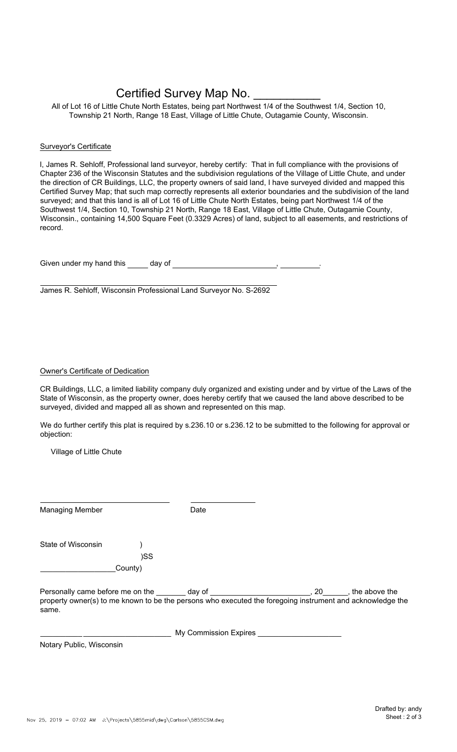# Certified Survey Map No.

All of Lot 16 of Little Chute North Estates, being part Northwest 1/4 of the Southwest 1/4, Section 10, Township 21 North, Range 18 East, Village of Little Chute, Outagamie County, Wisconsin.

#### Surveyor's Certificate

I, James R. Sehloff, Professional land surveyor, hereby certify: That in full compliance with the provisions of Chapter 236 of the Wisconsin Statutes and the subdivision regulations of the Village of Little Chute, and under the direction of CR Buildings, LLC, the property owners of said land, I have surveyed divided and mapped this Certified Survey Map; that such map correctly represents all exterior boundaries and the subdivision of the land surveyed; and that this land is all of Lot 16 of Little Chute North Estates, being part Northwest 1/4 of the Southwest 1/4, Section 10, Township 21 North, Range 18 East, Village of Little Chute, Outagamie County, Wisconsin., containing 14,500 Square Feet (0.3329 Acres) of land, subject to all easements, and restrictions of record.

Given under my hand this  $\_\_\_$  day of  $\_\_\_\_\_\_\_$ 

James R. Sehloff, Wisconsin Professional Land Surveyor No. S-2692

### Owner's Certificate of Dedication

CR Buildings, LLC, a limited liability company duly organized and existing under and by virtue of the Laws of the State of Wisconsin, as the property owner, does hereby certify that we caused the land above described to be surveyed, divided and mapped all as shown and represented on this map.

We do further certify this plat is required by s.236.10 or s.236.12 to be submitted to the following for approval or objection:

Village of Little Chute

| <b>Managing Member</b>                                                                                                                               |         | Date                  |                        |
|------------------------------------------------------------------------------------------------------------------------------------------------------|---------|-----------------------|------------------------|
| State of Wisconsin                                                                                                                                   |         |                       |                        |
|                                                                                                                                                      | )SS     |                       |                        |
|                                                                                                                                                      | County) |                       |                        |
| Personally came before me on the day of<br>property owner(s) to me known to be the persons who executed the foregoing instrument and acknowledge the |         |                       | $, 20$ , the above the |
| same.                                                                                                                                                |         |                       |                        |
|                                                                                                                                                      |         | My Commission Expires |                        |

Notary Public, Wisconsin